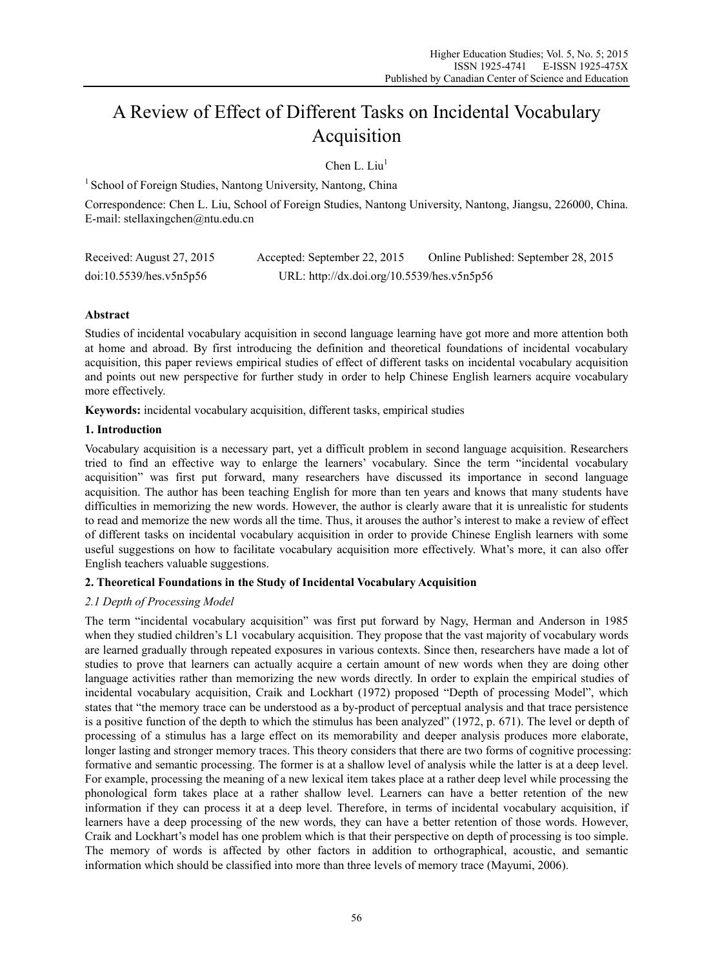# A Review of Effect of Different Tasks on Incidental Vocabulary Acquisition

Chen L. Liu $<sup>1</sup>$ </sup>

<sup>1</sup> School of Foreign Studies, Nantong University, Nantong, China

Correspondence: Chen L. Liu, School of Foreign Studies, Nantong University, Nantong, Jiangsu, 226000, China. E-mail: stellaxingchen@ntu.edu.cn

| Received: August 27, 2015 | Accepted: September 22, 2015               | Online Published: September 28, 2015 |  |  |
|---------------------------|--------------------------------------------|--------------------------------------|--|--|
| doi:10.5539/hes.v5n5p56   | URL: http://dx.doi.org/10.5539/hes.v5n5p56 |                                      |  |  |

# **Abstract**

Studies of incidental vocabulary acquisition in second language learning have got more and more attention both at home and abroad. By first introducing the definition and theoretical foundations of incidental vocabulary acquisition, this paper reviews empirical studies of effect of different tasks on incidental vocabulary acquisition and points out new perspective for further study in order to help Chinese English learners acquire vocabulary more effectively.

**Keywords:** incidental vocabulary acquisition, different tasks, empirical studies

# **1. Introduction**

Vocabulary acquisition is a necessary part, yet a difficult problem in second language acquisition. Researchers tried to find an effective way to enlarge the learners' vocabulary. Since the term "incidental vocabulary acquisition" was first put forward, many researchers have discussed its importance in second language acquisition. The author has been teaching English for more than ten years and knows that many students have difficulties in memorizing the new words. However, the author is clearly aware that it is unrealistic for students to read and memorize the new words all the time. Thus, it arouses the author's interest to make a review of effect of different tasks on incidental vocabulary acquisition in order to provide Chinese English learners with some useful suggestions on how to facilitate vocabulary acquisition more effectively. What's more, it can also offer English teachers valuable suggestions.

# **2. Theoretical Foundations in the Study of Incidental Vocabulary Acquisition**

# *2.1 Depth of Processing Model*

The term "incidental vocabulary acquisition" was first put forward by Nagy, Herman and Anderson in 1985 when they studied children's L1 vocabulary acquisition. They propose that the vast majority of vocabulary words are learned gradually through repeated exposures in various contexts. Since then, researchers have made a lot of studies to prove that learners can actually acquire a certain amount of new words when they are doing other language activities rather than memorizing the new words directly. In order to explain the empirical studies of incidental vocabulary acquisition, Craik and Lockhart (1972) proposed "Depth of processing Model", which states that "the memory trace can be understood as a by-product of perceptual analysis and that trace persistence is a positive function of the depth to which the stimulus has been analyzed" (1972, p. 671). The level or depth of processing of a stimulus has a large effect on its memorability and deeper analysis produces more elaborate, longer lasting and stronger memory traces. This theory considers that there are two forms of cognitive processing: formative and semantic processing. The former is at a shallow level of analysis while the latter is at a deep level. For example, processing the meaning of a new lexical item takes place at a rather deep level while processing the phonological form takes place at a rather shallow level. Learners can have a better retention of the new information if they can process it at a deep level. Therefore, in terms of incidental vocabulary acquisition, if learners have a deep processing of the new words, they can have a better retention of those words. However, Craik and Lockhart's model has one problem which is that their perspective on depth of processing is too simple. The memory of words is affected by other factors in addition to orthographical, acoustic, and semantic information which should be classified into more than three levels of memory trace (Mayumi, 2006).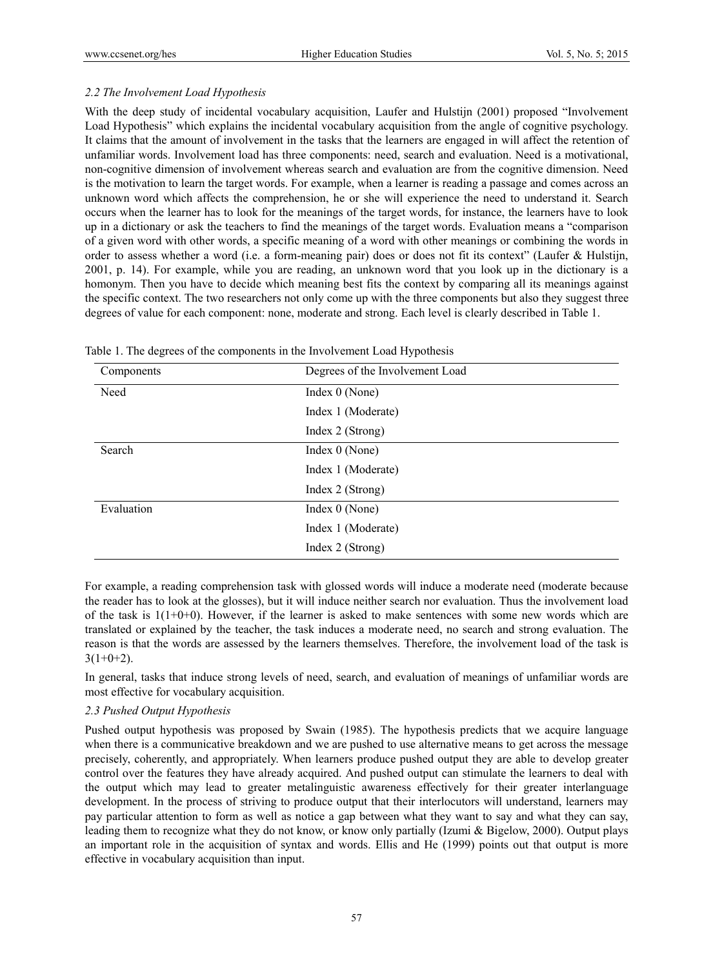# *2.2 The Involvement Load Hypothesis*

With the deep study of incidental vocabulary acquisition, Laufer and Hulstijn (2001) proposed "Involvement" Load Hypothesis" which explains the incidental vocabulary acquisition from the angle of cognitive psychology. It claims that the amount of involvement in the tasks that the learners are engaged in will affect the retention of unfamiliar words. Involvement load has three components: need, search and evaluation. Need is a motivational, non-cognitive dimension of involvement whereas search and evaluation are from the cognitive dimension. Need is the motivation to learn the target words. For example, when a learner is reading a passage and comes across an unknown word which affects the comprehension, he or she will experience the need to understand it. Search occurs when the learner has to look for the meanings of the target words, for instance, the learners have to look up in a dictionary or ask the teachers to find the meanings of the target words. Evaluation means a "comparison of a given word with other words, a specific meaning of a word with other meanings or combining the words in order to assess whether a word (i.e. a form-meaning pair) does or does not fit its context" (Laufer & Hulstijn, 2001, p. 14). For example, while you are reading, an unknown word that you look up in the dictionary is a homonym. Then you have to decide which meaning best fits the context by comparing all its meanings against the specific context. The two researchers not only come up with the three components but also they suggest three degrees of value for each component: none, moderate and strong. Each level is clearly described in Table 1.

| Components | Degrees of the Involvement Load |  |  |
|------------|---------------------------------|--|--|
| Need       | Index 0 (None)                  |  |  |
|            | Index 1 (Moderate)              |  |  |
|            | Index 2 (Strong)                |  |  |
| Search     | Index $0$ (None)                |  |  |
|            | Index 1 (Moderate)              |  |  |
|            | Index 2 (Strong)                |  |  |
| Evaluation | Index $0$ (None)                |  |  |
|            | Index 1 (Moderate)              |  |  |
|            | Index 2 (Strong)                |  |  |

|  |  | Table 1. The degrees of the components in the Involvement Load Hypothesis |
|--|--|---------------------------------------------------------------------------|
|  |  |                                                                           |

For example, a reading comprehension task with glossed words will induce a moderate need (moderate because the reader has to look at the glosses), but it will induce neither search nor evaluation. Thus the involvement load of the task is  $1(1+0+0)$ . However, if the learner is asked to make sentences with some new words which are translated or explained by the teacher, the task induces a moderate need, no search and strong evaluation. The reason is that the words are assessed by the learners themselves. Therefore, the involvement load of the task is  $3(1+0+2)$ .

In general, tasks that induce strong levels of need, search, and evaluation of meanings of unfamiliar words are most effective for vocabulary acquisition.

## *2.3 Pushed Output Hypothesis*

Pushed output hypothesis was proposed by Swain (1985). The hypothesis predicts that we acquire language when there is a communicative breakdown and we are pushed to use alternative means to get across the message precisely, coherently, and appropriately. When learners produce pushed output they are able to develop greater control over the features they have already acquired. And pushed output can stimulate the learners to deal with the output which may lead to greater metalinguistic awareness effectively for their greater interlanguage development. In the process of striving to produce output that their interlocutors will understand, learners may pay particular attention to form as well as notice a gap between what they want to say and what they can say, leading them to recognize what they do not know, or know only partially (Izumi & Bigelow, 2000). Output plays an important role in the acquisition of syntax and words. Ellis and He (1999) points out that output is more effective in vocabulary acquisition than input.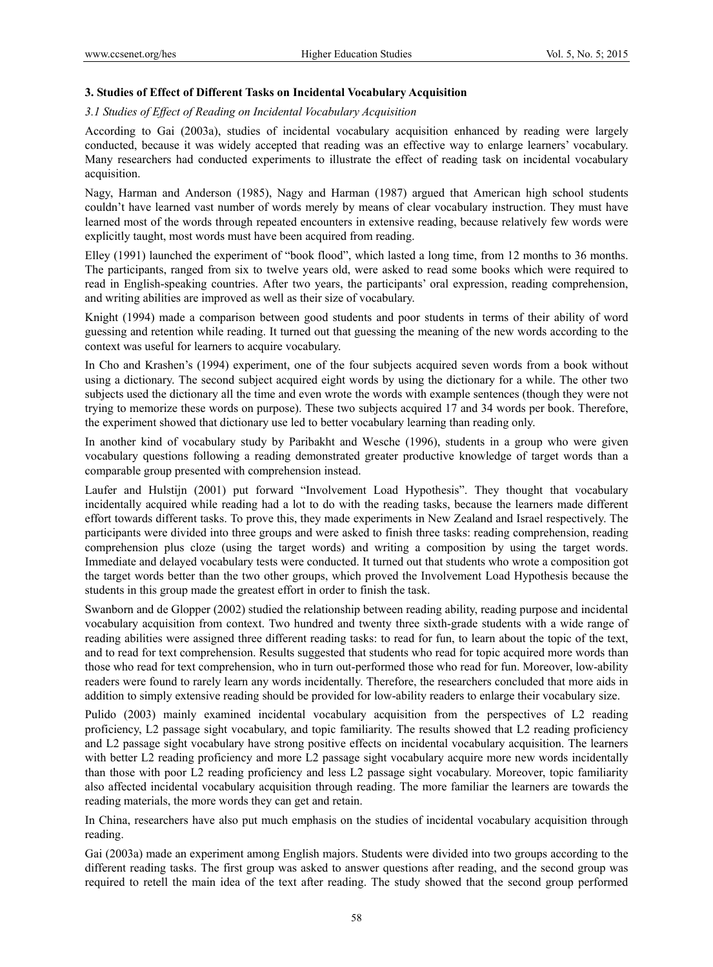## **3. Studies of Effect of Different Tasks on Incidental Vocabulary Acquisition**

## *3.1 Studies of Effect of Reading on Incidental Vocabulary Acquisition*

According to Gai (2003a), studies of incidental vocabulary acquisition enhanced by reading were largely conducted, because it was widely accepted that reading was an effective way to enlarge learners' vocabulary. Many researchers had conducted experiments to illustrate the effect of reading task on incidental vocabulary acquisition.

Nagy, Harman and Anderson (1985), Nagy and Harman (1987) argued that American high school students couldn't have learned vast number of words merely by means of clear vocabulary instruction. They must have learned most of the words through repeated encounters in extensive reading, because relatively few words were explicitly taught, most words must have been acquired from reading.

Elley (1991) launched the experiment of "book flood", which lasted a long time, from 12 months to 36 months. The participants, ranged from six to twelve years old, were asked to read some books which were required to read in English-speaking countries. After two years, the participants' oral expression, reading comprehension, and writing abilities are improved as well as their size of vocabulary.

Knight (1994) made a comparison between good students and poor students in terms of their ability of word guessing and retention while reading. It turned out that guessing the meaning of the new words according to the context was useful for learners to acquire vocabulary.

In Cho and Krashen's (1994) experiment, one of the four subjects acquired seven words from a book without using a dictionary. The second subject acquired eight words by using the dictionary for a while. The other two subjects used the dictionary all the time and even wrote the words with example sentences (though they were not trying to memorize these words on purpose). These two subjects acquired 17 and 34 words per book. Therefore, the experiment showed that dictionary use led to better vocabulary learning than reading only.

In another kind of vocabulary study by Paribakht and Wesche (1996), students in a group who were given vocabulary questions following a reading demonstrated greater productive knowledge of target words than a comparable group presented with comprehension instead.

Laufer and Hulstijn (2001) put forward "Involvement Load Hypothesis". They thought that vocabulary incidentally acquired while reading had a lot to do with the reading tasks, because the learners made different effort towards different tasks. To prove this, they made experiments in New Zealand and Israel respectively. The participants were divided into three groups and were asked to finish three tasks: reading comprehension, reading comprehension plus cloze (using the target words) and writing a composition by using the target words. Immediate and delayed vocabulary tests were conducted. It turned out that students who wrote a composition got the target words better than the two other groups, which proved the Involvement Load Hypothesis because the students in this group made the greatest effort in order to finish the task.

Swanborn and de Glopper (2002) studied the relationship between reading ability, reading purpose and incidental vocabulary acquisition from context. Two hundred and twenty three sixth-grade students with a wide range of reading abilities were assigned three different reading tasks: to read for fun, to learn about the topic of the text, and to read for text comprehension. Results suggested that students who read for topic acquired more words than those who read for text comprehension, who in turn out-performed those who read for fun. Moreover, low-ability readers were found to rarely learn any words incidentally. Therefore, the researchers concluded that more aids in addition to simply extensive reading should be provided for low-ability readers to enlarge their vocabulary size.

Pulido (2003) mainly examined incidental vocabulary acquisition from the perspectives of L2 reading proficiency, L2 passage sight vocabulary, and topic familiarity. The results showed that L2 reading proficiency and L2 passage sight vocabulary have strong positive effects on incidental vocabulary acquisition. The learners with better L2 reading proficiency and more L2 passage sight vocabulary acquire more new words incidentally than those with poor L2 reading proficiency and less L2 passage sight vocabulary. Moreover, topic familiarity also affected incidental vocabulary acquisition through reading. The more familiar the learners are towards the reading materials, the more words they can get and retain.

In China, researchers have also put much emphasis on the studies of incidental vocabulary acquisition through reading.

Gai (2003a) made an experiment among English majors. Students were divided into two groups according to the different reading tasks. The first group was asked to answer questions after reading, and the second group was required to retell the main idea of the text after reading. The study showed that the second group performed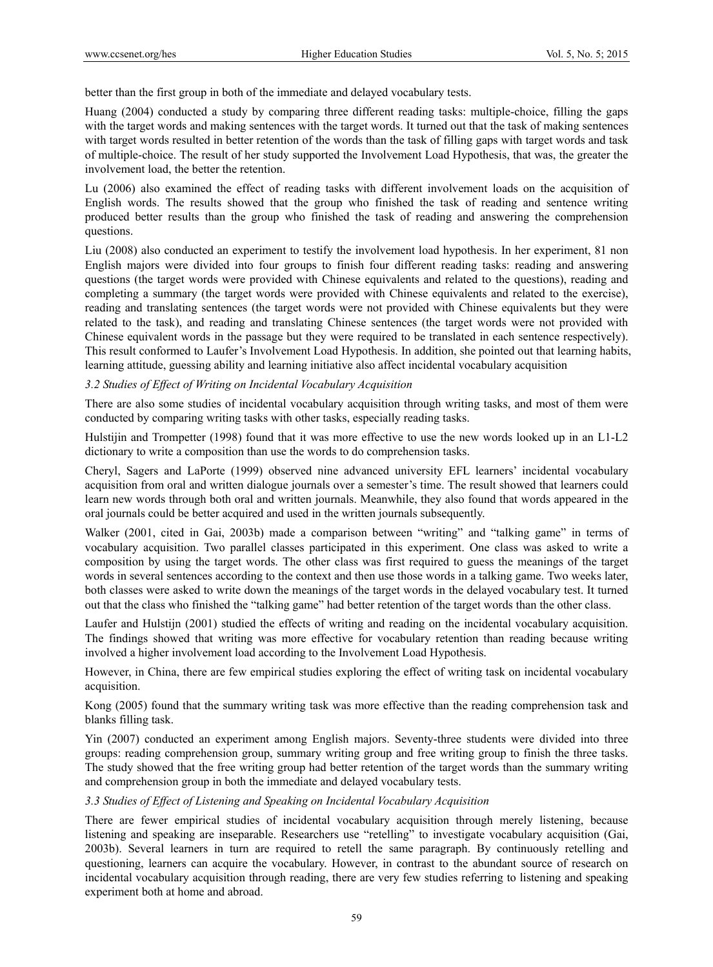better than the first group in both of the immediate and delayed vocabulary tests.

Huang (2004) conducted a study by comparing three different reading tasks: multiple-choice, filling the gaps with the target words and making sentences with the target words. It turned out that the task of making sentences with target words resulted in better retention of the words than the task of filling gaps with target words and task of multiple-choice. The result of her study supported the Involvement Load Hypothesis, that was, the greater the involvement load, the better the retention.

Lu (2006) also examined the effect of reading tasks with different involvement loads on the acquisition of English words. The results showed that the group who finished the task of reading and sentence writing produced better results than the group who finished the task of reading and answering the comprehension questions.

Liu (2008) also conducted an experiment to testify the involvement load hypothesis. In her experiment, 81 non English majors were divided into four groups to finish four different reading tasks: reading and answering questions (the target words were provided with Chinese equivalents and related to the questions), reading and completing a summary (the target words were provided with Chinese equivalents and related to the exercise), reading and translating sentences (the target words were not provided with Chinese equivalents but they were related to the task), and reading and translating Chinese sentences (the target words were not provided with Chinese equivalent words in the passage but they were required to be translated in each sentence respectively). This result conformed to Laufer's Involvement Load Hypothesis. In addition, she pointed out that learning habits, learning attitude, guessing ability and learning initiative also affect incidental vocabulary acquisition

## *3.2 Studies of Effect of Writing on Incidental Vocabulary Acquisition*

There are also some studies of incidental vocabulary acquisition through writing tasks, and most of them were conducted by comparing writing tasks with other tasks, especially reading tasks.

Hulstijin and Trompetter (1998) found that it was more effective to use the new words looked up in an L1-L2 dictionary to write a composition than use the words to do comprehension tasks.

Cheryl, Sagers and LaPorte (1999) observed nine advanced university EFL learners' incidental vocabulary acquisition from oral and written dialogue journals over a semester's time. The result showed that learners could learn new words through both oral and written journals. Meanwhile, they also found that words appeared in the oral journals could be better acquired and used in the written journals subsequently.

Walker (2001, cited in Gai, 2003b) made a comparison between "writing" and "talking game" in terms of vocabulary acquisition. Two parallel classes participated in this experiment. One class was asked to write a composition by using the target words. The other class was first required to guess the meanings of the target words in several sentences according to the context and then use those words in a talking game. Two weeks later, both classes were asked to write down the meanings of the target words in the delayed vocabulary test. It turned out that the class who finished the "talking game" had better retention of the target words than the other class.

Laufer and Hulstijn (2001) studied the effects of writing and reading on the incidental vocabulary acquisition. The findings showed that writing was more effective for vocabulary retention than reading because writing involved a higher involvement load according to the Involvement Load Hypothesis.

However, in China, there are few empirical studies exploring the effect of writing task on incidental vocabulary acquisition.

Kong (2005) found that the summary writing task was more effective than the reading comprehension task and blanks filling task.

Yin (2007) conducted an experiment among English majors. Seventy-three students were divided into three groups: reading comprehension group, summary writing group and free writing group to finish the three tasks. The study showed that the free writing group had better retention of the target words than the summary writing and comprehension group in both the immediate and delayed vocabulary tests.

*3.3 Studies of Effect of Listening and Speaking on Incidental Vocabulary Acquisition* 

There are fewer empirical studies of incidental vocabulary acquisition through merely listening, because listening and speaking are inseparable. Researchers use "retelling" to investigate vocabulary acquisition (Gai, 2003b). Several learners in turn are required to retell the same paragraph. By continuously retelling and questioning, learners can acquire the vocabulary. However, in contrast to the abundant source of research on incidental vocabulary acquisition through reading, there are very few studies referring to listening and speaking experiment both at home and abroad.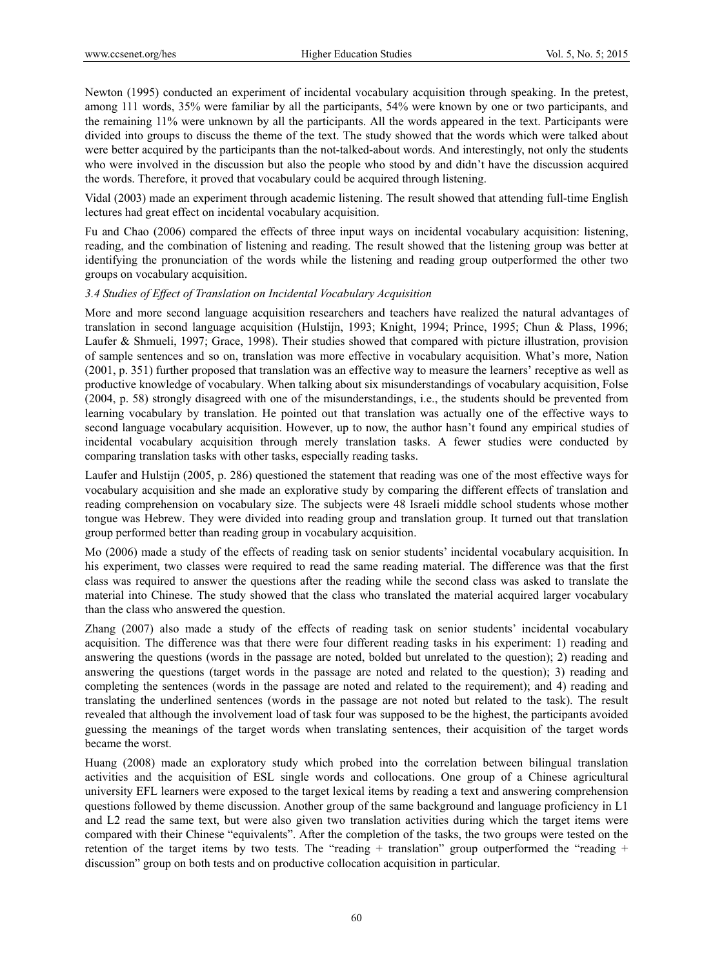Newton (1995) conducted an experiment of incidental vocabulary acquisition through speaking. In the pretest, among 111 words, 35% were familiar by all the participants, 54% were known by one or two participants, and the remaining 11% were unknown by all the participants. All the words appeared in the text. Participants were divided into groups to discuss the theme of the text. The study showed that the words which were talked about were better acquired by the participants than the not-talked-about words. And interestingly, not only the students who were involved in the discussion but also the people who stood by and didn't have the discussion acquired the words. Therefore, it proved that vocabulary could be acquired through listening.

Vidal (2003) made an experiment through academic listening. The result showed that attending full-time English lectures had great effect on incidental vocabulary acquisition.

Fu and Chao (2006) compared the effects of three input ways on incidental vocabulary acquisition: listening, reading, and the combination of listening and reading. The result showed that the listening group was better at identifying the pronunciation of the words while the listening and reading group outperformed the other two groups on vocabulary acquisition.

## *3.4 Studies of Effect of Translation on Incidental Vocabulary Acquisition*

More and more second language acquisition researchers and teachers have realized the natural advantages of translation in second language acquisition (Hulstijn, 1993; Knight, 1994; Prince, 1995; Chun & Plass, 1996; Laufer & Shmueli, 1997; Grace, 1998). Their studies showed that compared with picture illustration, provision of sample sentences and so on, translation was more effective in vocabulary acquisition. What's more, Nation (2001, p. 351) further proposed that translation was an effective way to measure the learners' receptive as well as productive knowledge of vocabulary. When talking about six misunderstandings of vocabulary acquisition, Folse (2004, p. 58) strongly disagreed with one of the misunderstandings, i.e., the students should be prevented from learning vocabulary by translation. He pointed out that translation was actually one of the effective ways to second language vocabulary acquisition. However, up to now, the author hasn't found any empirical studies of incidental vocabulary acquisition through merely translation tasks. A fewer studies were conducted by comparing translation tasks with other tasks, especially reading tasks.

Laufer and Hulstijn (2005, p. 286) questioned the statement that reading was one of the most effective ways for vocabulary acquisition and she made an explorative study by comparing the different effects of translation and reading comprehension on vocabulary size. The subjects were 48 Israeli middle school students whose mother tongue was Hebrew. They were divided into reading group and translation group. It turned out that translation group performed better than reading group in vocabulary acquisition.

Mo (2006) made a study of the effects of reading task on senior students' incidental vocabulary acquisition. In his experiment, two classes were required to read the same reading material. The difference was that the first class was required to answer the questions after the reading while the second class was asked to translate the material into Chinese. The study showed that the class who translated the material acquired larger vocabulary than the class who answered the question.

Zhang (2007) also made a study of the effects of reading task on senior students' incidental vocabulary acquisition. The difference was that there were four different reading tasks in his experiment: 1) reading and answering the questions (words in the passage are noted, bolded but unrelated to the question); 2) reading and answering the questions (target words in the passage are noted and related to the question); 3) reading and completing the sentences (words in the passage are noted and related to the requirement); and 4) reading and translating the underlined sentences (words in the passage are not noted but related to the task). The result revealed that although the involvement load of task four was supposed to be the highest, the participants avoided guessing the meanings of the target words when translating sentences, their acquisition of the target words became the worst.

Huang (2008) made an exploratory study which probed into the correlation between bilingual translation activities and the acquisition of ESL single words and collocations. One group of a Chinese agricultural university EFL learners were exposed to the target lexical items by reading a text and answering comprehension questions followed by theme discussion. Another group of the same background and language proficiency in L1 and L2 read the same text, but were also given two translation activities during which the target items were compared with their Chinese "equivalents". After the completion of the tasks, the two groups were tested on the retention of the target items by two tests. The "reading + translation" group outperformed the "reading + discussion" group on both tests and on productive collocation acquisition in particular.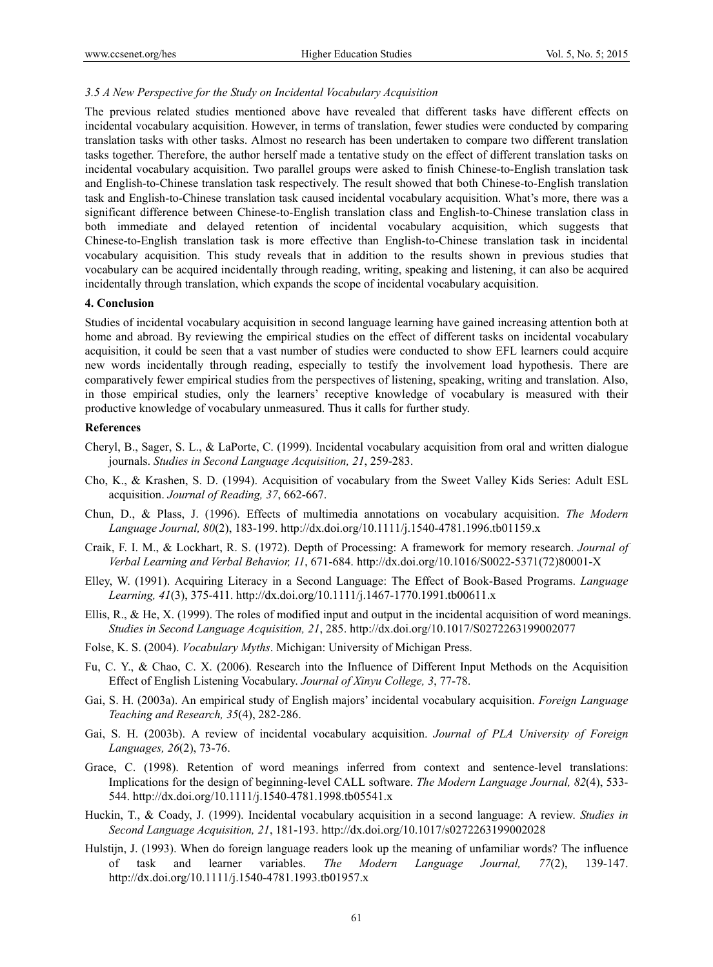#### *3.5 A New Perspective for the Study on Incidental Vocabulary Acquisition*

The previous related studies mentioned above have revealed that different tasks have different effects on incidental vocabulary acquisition. However, in terms of translation, fewer studies were conducted by comparing translation tasks with other tasks. Almost no research has been undertaken to compare two different translation tasks together. Therefore, the author herself made a tentative study on the effect of different translation tasks on incidental vocabulary acquisition. Two parallel groups were asked to finish Chinese-to-English translation task and English-to-Chinese translation task respectively. The result showed that both Chinese-to-English translation task and English-to-Chinese translation task caused incidental vocabulary acquisition. What's more, there was a significant difference between Chinese-to-English translation class and English-to-Chinese translation class in both immediate and delayed retention of incidental vocabulary acquisition, which suggests that Chinese-to-English translation task is more effective than English-to-Chinese translation task in incidental vocabulary acquisition. This study reveals that in addition to the results shown in previous studies that vocabulary can be acquired incidentally through reading, writing, speaking and listening, it can also be acquired incidentally through translation, which expands the scope of incidental vocabulary acquisition.

#### **4. Conclusion**

Studies of incidental vocabulary acquisition in second language learning have gained increasing attention both at home and abroad. By reviewing the empirical studies on the effect of different tasks on incidental vocabulary acquisition, it could be seen that a vast number of studies were conducted to show EFL learners could acquire new words incidentally through reading, especially to testify the involvement load hypothesis. There are comparatively fewer empirical studies from the perspectives of listening, speaking, writing and translation. Also, in those empirical studies, only the learners' receptive knowledge of vocabulary is measured with their productive knowledge of vocabulary unmeasured. Thus it calls for further study.

#### **References**

- Cheryl, B., Sager, S. L., & LaPorte, C. (1999). Incidental vocabulary acquisition from oral and written dialogue journals. *Studies in Second Language Acquisition, 21*, 259-283.
- Cho, K., & Krashen, S. D. (1994). Acquisition of vocabulary from the Sweet Valley Kids Series: Adult ESL acquisition. *Journal of Reading, 37*, 662-667.
- Chun, D., & Plass, J. (1996). Effects of multimedia annotations on vocabulary acquisition. *The Modern Language Journal, 80*(2), 183-199. http://dx.doi.org/10.1111/j.1540-4781.1996.tb01159.x
- Craik, F. I. M., & Lockhart, R. S. (1972). Depth of Processing: A framework for memory research. *Journal of Verbal Learning and Verbal Behavior, 11*, 671-684. http://dx.doi.org/10.1016/S0022-5371(72)80001-X
- Elley, W. (1991). Acquiring Literacy in a Second Language: The Effect of Book-Based Programs. *Language Learning, 41*(3), 375-411. http://dx.doi.org/10.1111/j.1467-1770.1991.tb00611.x
- Ellis, R., & He, X. (1999). The roles of modified input and output in the incidental acquisition of word meanings. *Studies in Second Language Acquisition, 21*, 285. http://dx.doi.org/10.1017/S0272263199002077
- Folse, K. S. (2004). *Vocabulary Myths*. Michigan: University of Michigan Press.
- Fu, C. Y., & Chao, C. X. (2006). Research into the Influence of Different Input Methods on the Acquisition Effect of English Listening Vocabulary. *Journal of Xinyu College, 3*, 77-78.
- Gai, S. H. (2003a). An empirical study of English majors' incidental vocabulary acquisition. *Foreign Language Teaching and Research, 35*(4), 282-286.
- Gai, S. H. (2003b). A review of incidental vocabulary acquisition. *Journal of PLA University of Foreign Languages, 26*(2), 73-76.
- Grace, C. (1998). Retention of word meanings inferred from context and sentence-level translations: Implications for the design of beginning-level CALL software. *The Modern Language Journal, 82*(4), 533- 544. http://dx.doi.org/10.1111/j.1540-4781.1998.tb05541.x
- Huckin, T., & Coady, J. (1999). Incidental vocabulary acquisition in a second language: A review. *Studies in Second Language Acquisition, 21*, 181-193. http://dx.doi.org/10.1017/s0272263199002028
- Hulstijn, J. (1993). When do foreign language readers look up the meaning of unfamiliar words? The influence of task and learner variables. *The Modern Language Journal, 77*(2), 139-147. http://dx.doi.org/10.1111/j.1540-4781.1993.tb01957.x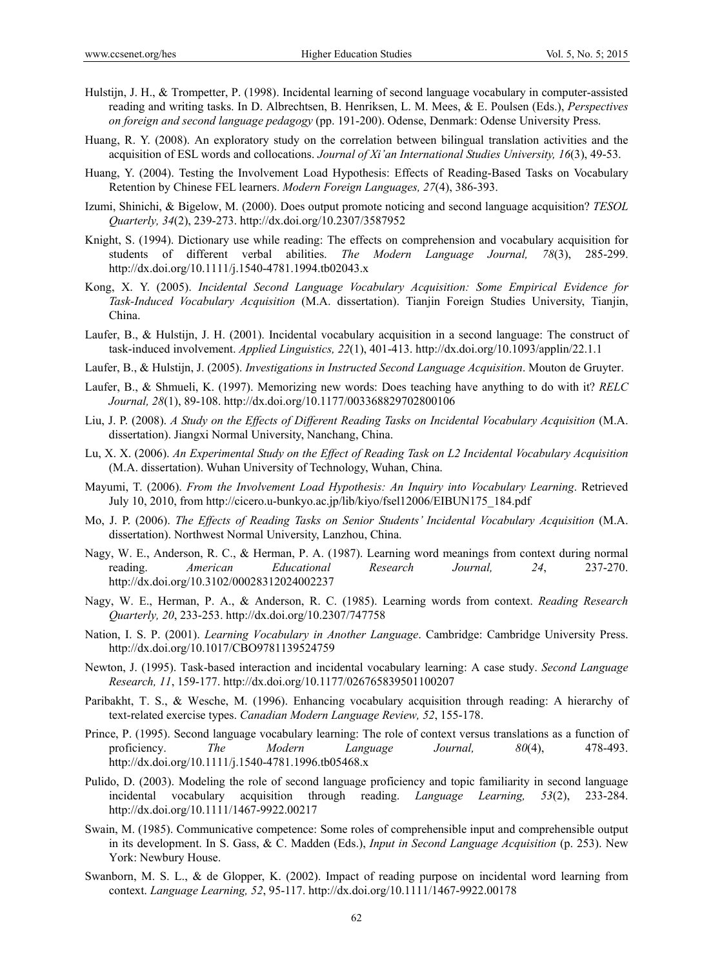- Hulstijn, J. H., & Trompetter, P. (1998). Incidental learning of second language vocabulary in computer-assisted reading and writing tasks. In D. Albrechtsen, B. Henriksen, L. M. Mees, & E. Poulsen (Eds.), *Perspectives on foreign and second language pedagogy* (pp. 191-200). Odense, Denmark: Odense University Press.
- Huang, R. Y. (2008). An exploratory study on the correlation between bilingual translation activities and the acquisition of ESL words and collocations. *Journal of Xi'an International Studies University, 16*(3), 49-53.
- Huang, Y. (2004). Testing the Involvement Load Hypothesis: Effects of Reading-Based Tasks on Vocabulary Retention by Chinese FEL learners. *Modern Foreign Languages, 27*(4), 386-393.
- Izumi, Shinichi, & Bigelow, M. (2000). Does output promote noticing and second language acquisition? *TESOL Quarterly, 34*(2), 239-273. http://dx.doi.org/10.2307/3587952
- Knight, S. (1994). Dictionary use while reading: The effects on comprehension and vocabulary acquisition for students of different verbal abilities. *The Modern Language Journal, 78*(3), 285-299. http://dx.doi.org/10.1111/j.1540-4781.1994.tb02043.x
- Kong, X. Y. (2005). *Incidental Second Language Vocabulary Acquisition: Some Empirical Evidence for Task-Induced Vocabulary Acquisition* (M.A. dissertation). Tianjin Foreign Studies University, Tianjin, China.
- Laufer, B., & Hulstijn, J. H. (2001). Incidental vocabulary acquisition in a second language: The construct of task-induced involvement. *Applied Linguistics, 22*(1), 401-413. http://dx.doi.org/10.1093/applin/22.1.1
- Laufer, B., & Hulstijn, J. (2005). *Investigations in Instructed Second Language Acquisition*. Mouton de Gruyter.
- Laufer, B., & Shmueli, K. (1997). Memorizing new words: Does teaching have anything to do with it? *RELC Journal, 28*(1), 89-108. http://dx.doi.org/10.1177/003368829702800106
- Liu, J. P. (2008). *A Study on the Effects of Different Reading Tasks on Incidental Vocabulary Acquisition* (M.A. dissertation). Jiangxi Normal University, Nanchang, China.
- Lu, X. X. (2006). *An Experimental Study on the Effect of Reading Task on L2 Incidental Vocabulary Acquisition* (M.A. dissertation). Wuhan University of Technology, Wuhan, China.
- Mayumi, T. (2006). *From the Involvement Load Hypothesis: An Inquiry into Vocabulary Learning*. Retrieved July 10, 2010, from http://cicero.u-bunkyo.ac.jp/lib/kiyo/fsel12006/EIBUN175\_184.pdf
- Mo, J. P. (2006). *The Effects of Reading Tasks on Senior Students' Incidental Vocabulary Acquisition* (M.A. dissertation). Northwest Normal University, Lanzhou, China.
- Nagy, W. E., Anderson, R. C., & Herman, P. A. (1987). Learning word meanings from context during normal reading. *American Educational Research Journal, 24*, 237-270. http://dx.doi.org/10.3102/00028312024002237
- Nagy, W. E., Herman, P. A., & Anderson, R. C. (1985). Learning words from context. *Reading Research Quarterly, 20*, 233-253. http://dx.doi.org/10.2307/747758
- Nation, I. S. P. (2001). *Learning Vocabulary in Another Language*. Cambridge: Cambridge University Press. http://dx.doi.org/10.1017/CBO9781139524759
- Newton, J. (1995). Task-based interaction and incidental vocabulary learning: A case study. *Second Language Research, 11*, 159-177. http://dx.doi.org/10.1177/026765839501100207
- Paribakht, T. S., & Wesche, M. (1996). Enhancing vocabulary acquisition through reading: A hierarchy of text-related exercise types. *Canadian Modern Language Review, 52*, 155-178.
- Prince, P. (1995). Second language vocabulary learning: The role of context versus translations as a function of proficiency. *The Modern Language Journal, 80*(4), 478-493. http://dx.doi.org/10.1111/j.1540-4781.1996.tb05468.x
- Pulido, D. (2003). Modeling the role of second language proficiency and topic familiarity in second language incidental vocabulary acquisition through reading. *Language Learning, 53*(2), 233-284. http://dx.doi.org/10.1111/1467-9922.00217
- Swain, M. (1985). Communicative competence: Some roles of comprehensible input and comprehensible output in its development. In S. Gass, & C. Madden (Eds.), *Input in Second Language Acquisition* (p. 253). New York: Newbury House.
- Swanborn, M. S. L., & de Glopper, K. (2002). Impact of reading purpose on incidental word learning from context. *Language Learning, 52*, 95-117. http://dx.doi.org/10.1111/1467-9922.00178